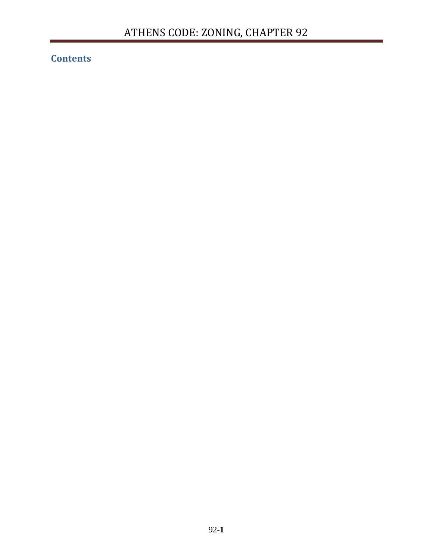# **Contents**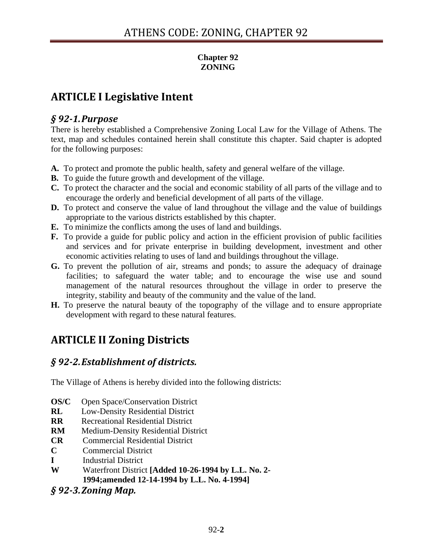### **Chapter 92 ZONING**

# **ARTICLE I Legislative Intent**

### *§ 921.Purpose*

There is hereby established a Comprehensive Zoning Local Law for the Village of Athens. The text, map and schedules contained herein shall constitute this chapter. Said chapter is adopted for the following purposes:

- **A.** To protect and promote the public health, safety and general welfare of the village.
- **B.** To guide the future growth and development of the village.
- **C.** To protect the character and the social and economic stability of all parts of the village and to encourage the orderly and beneficial development of all parts of the village.
- **D.** To protect and conserve the value of land throughout the village and the value of buildings appropriate to the various districts established by this chapter.
- **E.** To minimize the conflicts among the uses of land and buildings.
- **F.** To provide a guide for public policy and action in the efficient provision of public facilities and services and for private enterprise in building development, investment and other economic activities relating to uses of land and buildings throughout the village.
- **G.** To prevent the pollution of air, streams and ponds; to assure the adequacy of drainage facilities; to safeguard the water table; and to encourage the wise use and sound management of the natural resources throughout the village in order to preserve the integrity, stability and beauty of the community and the value of the land.
- **H.** To preserve the natural beauty of the topography of the village and to ensure appropriate development with regard to these natural features.

# **ARTICLE II Zoning Districts**

# *§ 922. Establishment of districts.*

The Village of Athens is hereby divided into the following districts:

- **OS/C** Open Space/Conservation District
- **RL** Low-Density Residential District
- **RR** Recreational Residential District
- **RM** Medium-Density Residential District
- **CR** Commercial Residential District
- **C** Commercial District
- **I** Industrial District
- **W** Waterfront District **[Added 10-26-1994 by L.L. No. 2- 1994;amended 12-14-1994 by L.L. No. 4-1994]**
- *§ 923. Zoning Map.*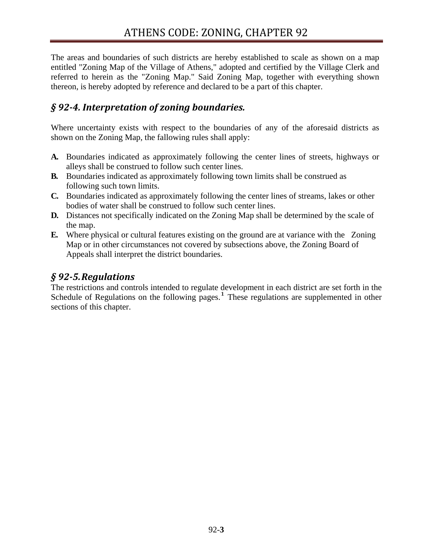The areas and boundaries of such districts are hereby established to scale as shown on a map entitled "Zoning Map of the Village of Athens," adopted and certified by the Village Clerk and referred to herein as the "Zoning Map." Said Zoning Map, together with everything shown thereon, is hereby adopted by reference and declared to be a part of this chapter.

## *§ 924. Interpretation of zoning boundaries.*

Where uncertainty exists with respect to the boundaries of any of the aforesaid districts as shown on the Zoning Map, the fallowing rules shall apply:

- **A.** Boundaries indicated as approximately following the center lines of streets, highways or alleys shall be construed to follow such center lines.
- **B.** Boundaries indicated as approximately following town limits shall be construed as following such town limits.
- **C.** Boundaries indicated as approximately following the center lines of streams, lakes or other bodies of water shall be construed to follow such center lines.
- **D.** Distances not specifically indicated on the Zoning Map shall be determined by the scale of the map.
- **E.** Where physical or cultural features existing on the ground are at variance with the Zoning Map or in other circumstances not covered by subsections above, the Zoning Board of Appeals shall interpret the district boundaries.

### *§ 925.Regulations*

The restrictions and controls intended to regulate development in each district are set forth in the Schedule of Regulations on the following pages.<sup>1</sup> These regulations are supplemented in other sections of this chapter.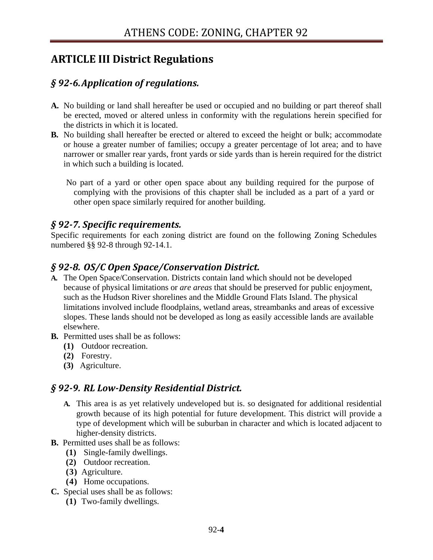# **ARTICLE III District Regulations**

# *§ 926.Application of regulations.*

- **A.** No building or land shall hereafter be used or occupied and no building or part thereof shall be erected, moved or altered unless in conformity with the regulations herein specified for the districts in which it is located.
- **B.** No building shall hereafter be erected or altered to exceed the height or bulk; accommodate or house a greater number of families; occupy a greater percentage of lot area; and to have narrower or smaller rear yards, front yards or side yards than is herein required for the district in which such a building is located.

No part of a yard or other open space about any building required for the purpose of complying with the provisions of this chapter shall be included as a part of a yard or other open space similarly required for another building.

### *§ 927. Specific requirements.*

Specific requirements for each zoning district are found on the following Zoning Schedules numbered §§ 92-8 through 92-14.1.

## *§ 928. OS/C Open Space/Conservation District.*

- **A.** The Open Space/Conservation. Districts contain land which should not be developed because of physical limitations or *are areas* that should be preserved for public enjoyment, such as the Hudson River shorelines and the Middle Ground Flats Island. The physical limitations involved include floodplains, wetland areas, streambanks and areas of excessive slopes. These lands should not be developed as long as easily accessible lands are available elsewhere.
- **B.** Permitted uses shall be as follows:
	- **(1)** Outdoor recreation.
	- **(2)** Forestry.
	- **(3)** Agriculture.

## *§ 929. RL LowDensity Residential District.*

- **A.** This area is as yet relatively undeveloped but is. so designated for additional residential growth because of its high potential for future development. This district will provide a type of development which will be suburban in character and which is located adjacent to higher-density districts.
- **B.** Permitted uses shall be as follows:
	- **(1)** Single-family dwellings.
	- **(2)** Outdoor recreation.
	- **(3)** Agriculture.
	- **(4)** Home occupations.
- **C.** Special uses shall be as follows:
	- **(1)** Two-family dwellings.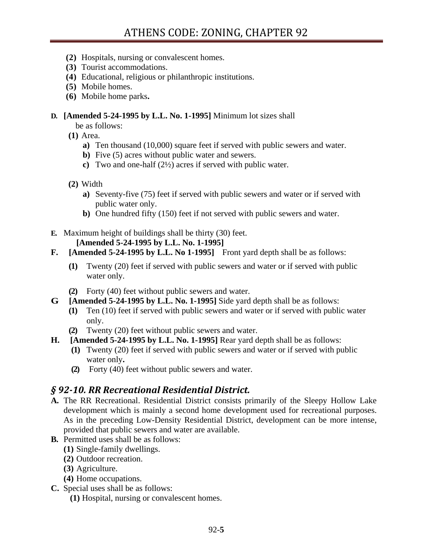- **(2)** Hospitals, nursing or convalescent homes.
- **(3)** Tourist accommodations.
- **(4)** Educational, religious or philanthropic institutions.
- **(5)** Mobile homes.
- **(6)** Mobile home parks**.**

#### **D. [Amended 5-24-1995 by L.L. No. 1-1995]** Minimum lot sizes shall

be as follows:

**(1)** Area.

- **a)** Ten thousand (10,000) square feet if served with public sewers and water.
- **b**) Five (5) acres without public water and sewers.
- **c)** Two and one-half (2½) acres if served with public water.
- **(2)** Width
	- **a)** Seventy-five (75) feet if served with public sewers and water or if served with public water only.
	- **b)** One hundred fifty (150) feet if not served with public sewers and water.
- **E.** Maximum height of buildings shall be thirty (30) feet.

### **[Amended 5-24-1995 by L.L. No. 1-1995]**

- **F. [Amended 5-24-1995 by L.L. No 1-1995]** Front yard depth shall be as follows:
	- **(1)** Twenty (20) feet if served with public sewers and water or if served with public water only.
	- **(2)** Forty (40) feet without public sewers and water.
- **G [Amended 5-24-1995 by L.L. No. 1-1995]** Side yard depth shall be as follows:
	- **(1)** Ten (10) feet if served with public sewers and water or if served with public water only.
	- **(2)** Twenty (20) feet without public sewers and water.
- **H. [Amended 5-24-1995 by L.L. No. 1-1995]** Rear yard depth shall be as follows:
	- **(1)** Twenty (20) feet if served with public sewers and water or if served with public water only**.**
	- **(2)** Forty (40) feet without public sewers and water.

# *§ 9210. RR Recreational Residential District.*

- **A.** The RR Recreational. Residential District consists primarily of the Sleepy Hollow Lake development which is mainly a second home development used for recreational purposes. As in the preceding Low-Density Residential District, development can be more intense, provided that public sewers and water are available.
- **B.** Permitted uses shall be as follows:
	- **(1)** Single-family dwellings.
	- **(2)** Outdoor recreation.
	- **(3)** Agriculture.
	- **(4)** Home occupations.
- **C.** Special uses shall be as follows:
	- **(1)** Hospital, nursing or convalescent homes.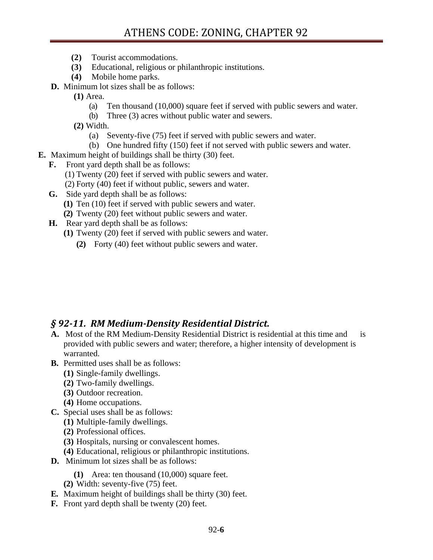- **(2)** Tourist accommodations.
- **(3)** Educational, religious or philanthropic institutions.
- **(4)** Mobile home parks.
- **D.** Minimum lot sizes shall be as follows:
	- **(1)** Area.
		- (a) Ten thousand (10,000) square feet if served with public sewers and water.
		- (b) Three (3) acres without public water and sewers.
	- **(2)** Width.
		- (a) Seventy-five (75) feet if served with public sewers and water.
		- (b) One hundred fifty (150) feet if not served with public sewers and water.
- **E.** Maximum height of buildings shall be thirty (30) feet.
	- **F.** Front yard depth shall be as follows:
		- (1) Twenty (20) feet if served with public sewers and water.
		- (2) Forty (40) feet if without public, sewers and water.
	- **G.** Side yard depth shall be as follows:
		- **(1)** Ten (10) feet if served with public sewers and water.
		- **(2)** Twenty (20) feet without public sewers and water.
	- **H.** Rear yard depth shall be as follows:
		- **(1)** Twenty (20) feet if served with public sewers and water.
			- **(2)** Forty (40) feet without public sewers and water.

### *§ 9211. RM MediumDensity Residential District.*

- **A.** Most of the RM Medium-Density Residential District is residential at this time and is provided with public sewers and water; therefore, a higher intensity of development is warranted.
- **B.** Permitted uses shall be as follows:
	- **(1)** Single-family dwellings.
	- **(2)** Two-family dwellings.
	- **(3)** Outdoor recreation.
	- **(4)** Home occupations.
- **C.** Special uses shall be as follows:
	- **(1)** Multiple-family dwellings.
	- **(2)** Professional offices.
	- **(3)** Hospitals, nursing or convalescent homes.
	- **(4)** Educational, religious or philanthropic institutions.
- **D.** Minimum lot sizes shall be as follows:
	- **(1)** Area: ten thousand (10,000) square feet.
	- **(2)** Width: seventy-five (75) feet.
- **E.** Maximum height of buildings shall be thirty (30) feet.
- **F.** Front yard depth shall be twenty (20) feet.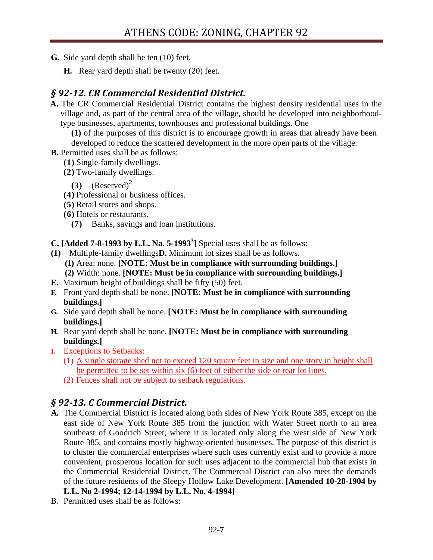- **G.** Side yard depth shall be ten (10) feet.
	- **H.** Rear yard depth shall be twenty (20) feet.

## *§ 9212. CR Commercial Residential District.*

**A.** The CR Commercial Residential District contains the highest density residential uses in the village and, as part of the central area of the village, should be developed into neighborhoodtype businesses, apartments, townhouses and professional buildings. One

**(1)** of the purposes of this district is to encourage growth in areas that already have been developed to reduce the scattered development in the more open parts of the village.

- **B.** Permitted uses shall be as follows:
	- **(1)** Single-family dwellings.
	- **(2)** Two-family dwellings.

 $(3)$   $(Reserved)^2$ 

- **(4)** Professional or business offices.
- **(5)** Retail stores and shops.
- **(6)** Hotels or restaurants.
	- **(7)** Banks, savings and loan institutions.

**C.** [Added  $7-8-1993$  by L.L. Na.  $5-1993^3$ ] Special uses shall be as follows:

- **(1)** Multiple-family dwellings**D.** Minimum lot sizes shall be as follows.
	- **(1)** Area: none. **[NOTE: Must be in compliance with surrounding buildings.]**
	- **(2)** Width: none. **[NOTE: Must be in compliance with surrounding buildings.]**
- **E.** Maximum height of buildings shall be fifty (50) feet.
- **F.** Front yard depth shall be none. **[NOTE: Must be in compliance with surrounding buildings.]**
- **G.** Side yard depth shall be none. **[NOTE: Must be in compliance with surrounding buildings.]**
- **H.** Rear yard depth shall be none. **[NOTE: Must be in compliance with surrounding buildings.]**
- **I.** Exceptions to Setbacks:
	- (1) A single storage shed not to exceed 120 square feet in size and one story in height shall be permitted to be set within six (6) feet of either the side or rear lot lines.
	- (2) Fences shall not be subject to setback regulations.

# *§ 9213. C Commercial District.*

- **A.** The Commercial District is located along both sides of New York Route 385, except on the east side of New York Route 385 from the junction with Water Street north to an area southeast of Goodrich Street, where it is located only along the west side of New York Route 385, and contains mostly highway-oriented businesses. The purpose of this district is to cluster the commercial enterprises where such uses currently exist and to provide a more convenient, prosperous location for such uses adjacent to the commercial hub that exists in the Commercial Residential District. The Commercial District can also meet the demands of the future residents of the Sleepy Hollow Lake Development. **[Amended 10-28-1904 by L.L. No 2-1994; 12-14-1994 by L.L. No. 4-1994]**
- B. Permitted uses shall be as follows: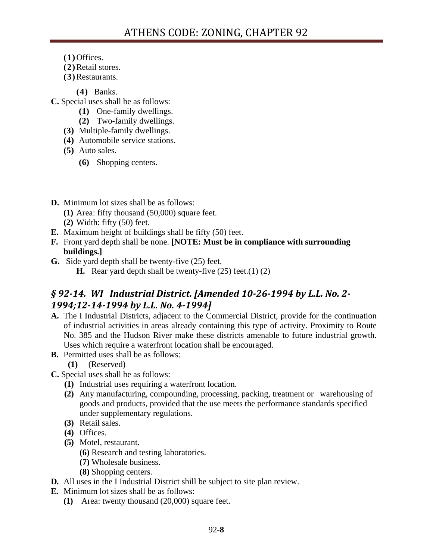- **(1)** Offices.
- **(2)**Retail stores.
- **(3)**Restaurants.

**(4)** Banks.

- **C.** Special uses shall be as follows:
	- **(1)** One-family dwellings.
	- **(2)** Two-family dwellings.
	- **(3)** Multiple-family dwellings.
	- **(4)** Automobile service stations.
	- **(5)** Auto sales.
		- **(6)** Shopping centers.
- **D.** Minimum lot sizes shall be as follows:
	- **(1)** Area: fifty thousand (50,000) square feet.
	- **(2)** Width: fifty (50) feet.
- **E.** Maximum height of buildings shall be fifty (50) feet.
- **F.** Front yard depth shall be none. **[NOTE: Must be in compliance with surrounding buildings.]**
- **G.** Side yard depth shall be twenty-five (25) feet.
	- **H.** Rear yard depth shall be twenty-five (25) feet.(1) (2)

# *§ 9214. WI Industrial District. [Amended 10261994 by L.L. No. 2 1994;12141994 by L.L. No. 41994]*

- **A.** The I Industrial Districts, adjacent to the Commercial District, provide for the continuation of industrial activities in areas already containing this type of activity. Proximity to Route No. 385 and the Hudson River make these districts amenable to future industrial growth. Uses which require a waterfront location shall be encouraged.
- **B.** Permitted uses shall be as follows:
	- **(1)** (Reserved)
- **C.** Special uses shall be as follows:
	- **(1)** Industrial uses requiring a waterfront location.
	- **(2)** Any manufacturing, compounding, processing, packing, treatment or warehousing of goods and products, provided that the use meets the performance standards specified under supplementary regulations.
	- **(3)** Retail sales.
	- **(4)** Offices.
	- **(5)** Motel, restaurant.
		- **(6)** Research and testing laboratories.
		- **(7)** Wholesale business.
		- **(8)** Shopping centers.
- **D.** All uses in the I Industrial District shill be subject to site plan review.
- **E.** Minimum lot sizes shall be as follows:
	- **(1)** Area: twenty thousand (20,000) square feet.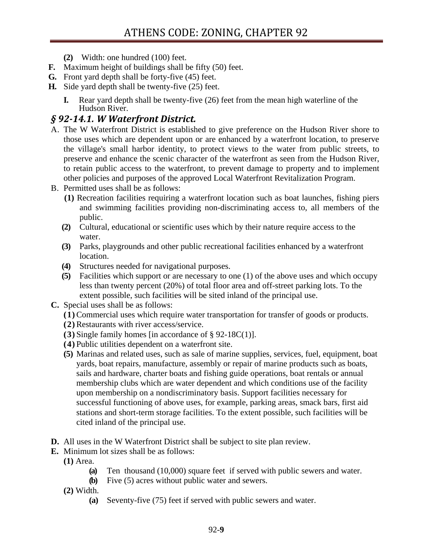- **(2)** Width: one hundred (100) feet.
- **F.** Maximum height of buildings shall be fifty (50) feet.
- **G.** Front yard depth shall be forty-five (45) feet.
- **H.** Side yard depth shall be twenty-five (25) feet.
	- **I.** Rear yard depth shall be twenty-five (26) feet from the mean high waterline of the Hudson River.

### *§ 9214.1. W Waterfront District.*

- A. The W Waterfront District is established to give preference on the Hudson River shore to those uses which are dependent upon or are enhanced by a waterfront location, to preserve the village's small harbor identity, to protect views to the water from public streets, to preserve and enhance the scenic character of the waterfront as seen from the Hudson River, to retain public access to the waterfront, to prevent damage to property and to implement other policies and purposes of the approved Local Waterfront Revitalization Program.
- B. Permitted uses shall be as follows:
	- **(1)** Recreation facilities requiring a waterfront location such as boat launches, fishing piers and swimming facilities providing non-discriminating access to, all members of the public.
	- **(2)** Cultural, educational or scientific uses which by their nature require access to the water.
	- **(3)** Parks, playgrounds and other public recreational facilities enhanced by a waterfront location.
	- **(4)** Structures needed for navigational purposes.
	- **(5)** Facilities which support or are necessary to one (1) of the above uses and which occupy less than twenty percent (20%) of total floor area and off-street parking lots. To the extent possible, such facilities will be sited inland of the principal use.
- **C.** Special uses shall be as follows:
	- **(1)** Commercial uses which require water transportation for transfer of goods or products.
	- **(2)** Restaurants with river access/service.
	- **(3)** Single family homes [in accordance of § 92-18C(1)].
	- **(4)** Public utilities dependent on a waterfront site.
	- **(5)** Marinas and related uses, such as sale of marine supplies, services, fuel, equipment, boat yards, boat repairs, manufacture, assembly or repair of marine products such as boats, sails and hardware, charter boats and fishing guide operations, boat rentals or annual membership clubs which are water dependent and which conditions use of the facility upon membership on a nondiscriminatory basis. Support facilities necessary for successful functioning of above uses, for example, parking areas, smack bars, first aid stations and short-term storage facilities. To the extent possible, such facilities will be cited inland of the principal use.
- **D.** All uses in the W Waterfront District shall be subject to site plan review.
- **E.** Minimum lot sizes shall be as follows:
	- **(1)** Area.
		- **(a)** Ten thousand (10,000) *s*quare feet if served with public sewers and water.
		- **(b)** Five (5) acres without public water and sewers.
	- **(2)** Width.
		- **(a)** Seventy-five (75) feet if served with public sewers and water.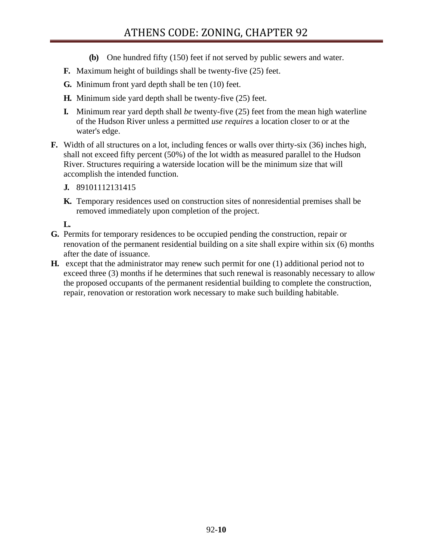- **(b)** One hundred fifty (150) feet if not served by public sewers and water.
- **F.** Maximum height of buildings shall be twenty-five (25) feet.
- **G.** Minimum front yard depth shall be ten (10) feet.
- **H.** Minimum side yard depth shall be twenty-five (25) feet.
- **I.** Minimum rear yard depth shall *be* twenty-five (25) feet from the mean high waterline of the Hudson River unless a permitted *use requires* a location closer to or at the water's edge.
- **F.** Width of all structures on a lot, including fences or walls over thirty-six (36) inches high, shall not exceed fifty percent (50%) of the lot width as measured parallel to the Hudson River. Structures requiring a waterside location will be the minimum size that will accomplish the intended function.
	- **J.** 89101112131415
	- **K.** Temporary residences used on construction sites of nonresidential premises shall be removed immediately upon completion of the project.

**L.**

- **G.** Permits for temporary residences to be occupied pending the construction, repair or renovation of the permanent residential building on a site shall expire within six (6) months after the date of issuance.
- **H.** except that the administrator may renew such permit for one (1) additional period not to exceed three (3) months if he determines that such renewal is reasonably necessary to allow the proposed occupants of the permanent residential building to complete the construction, repair, renovation or restoration work necessary to make such building habitable.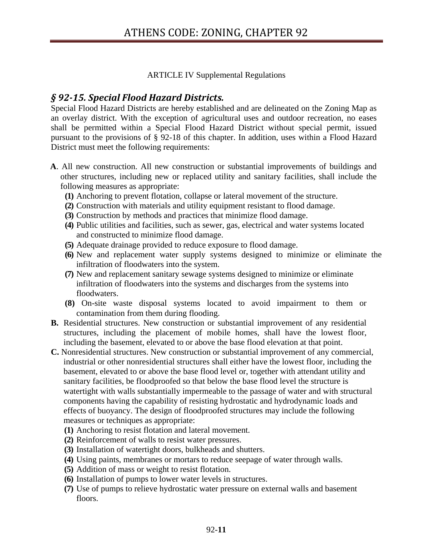#### ARTICLE IV Supplemental Regulations

### *§ 9215. Special Flood Hazard Districts.*

Special Flood Hazard Districts are hereby established and are delineated on the Zoning Map as an overlay district. With the exception of agricultural uses and outdoor recreation, no eases shall be permitted within a Special Flood Hazard District without special permit, issued pursuant to the provisions of § 92-18 of this chapter. In addition, uses within a Flood Hazard District must meet the following requirements:

- **A**. All new construction. All new construction or substantial improvements of buildings and other structures, including new or replaced utility and sanitary facilities, shall include the following measures as appropriate:
	- **(1)** Anchoring to prevent flotation, collapse or lateral movement of the structure.
	- **(2)** Construction with materials and utility equipment resistant to flood damage.
	- **(3)** Construction by methods and practices that minimize flood damage.
	- **(4)** Public utilities and facilities, such as sewer, gas, electrical and water systems located and constructed to minimize flood damage.
	- **(5)** Adequate drainage provided to reduce exposure to flood damage.
	- **(6)** New and replacement water supply systems designed to minimize or eliminate the infiltration of floodwaters into the system.
	- **(7)** New and replacement sanitary sewage systems designed to minimize or eliminate infiltration of floodwaters into the systems and discharges from the systems into floodwaters.
	- **(8)** On-site waste disposal systems located to avoid impairment to them or contamination from them during flooding.
- **B.** Residential structures. New construction or substantial improvement of any residential structures, including the placement of mobile homes, shall have the lowest floor, including the basement*,* elevated to or above the base flood elevation at that point.
- **C.** Nonresidential structures. New construction or substantial improvement of any commercial, industrial or other nonresidential structures shall either have the lowest floor, including the basement, elevated to or above the base flood level or, together with attendant utility and sanitary facilities, be floodproofed so that below the base flood level the structure is watertight with walls substantially impermeable to the passage of water and with structural components having the capability of resisting hydrostatic and hydrodynamic loads and effects of buoyancy. The design of floodproofed structures may include the following measures or techniques as appropriate:
	- **(1)** Anchoring to resist flotation and lateral movement.
	- **(2)** Reinforcement of walls to resist water pressures.
	- **(3)** Installation of watertight doors, bulkheads and shutters.
	- **(4)** Using paints, membranes or mortars to reduce seepage of water through walls.
	- **(5)** Addition of mass or weight to resist flotation.
	- **(6)** Installation of pumps to lower water levels in structures.
	- **(7)** Use of pumps to relieve hydrostatic water pressure on external walls and basement floors.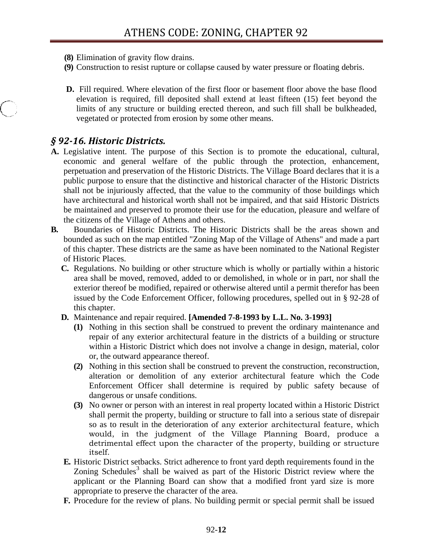- **(8)** Elimination of gravity flow drains.
- **(9)** Construction to resist rupture or collapse caused by water pressure or floating debris.
- **D.** Fill required. Where elevation of the first floor or basement floor above the base flood elevation is required, fill deposited shall extend at least fifteen (15) feet beyond the limits of any structure or building erected thereon, and such fill shall be bulkheaded, vegetated or protected from erosion by some other means.

### *§ 9216. Historic Districts.*

- **A.** Legislative intent. The purpose of this Section is to promote the educational, cultural, economic and general welfare of the public through the protection, enhancement, perpetuation and preservation of the Historic Districts. The Village Board declares that it is a public purpose to ensure that the distinctive and historical character of the Historic Districts shall not be injuriously affected, that the value to the community of those buildings which have architectural and historical worth shall not be impaired, and that said Historic Districts be maintained and preserved to promote their use for the education, pleasure and welfare of the citizens of the Village of Athens and others.
- **B.** Boundaries of Historic Districts. The Historic Districts shall be the areas shown and bounded as such on the map entitled "Zoning Map of the Village of Athens" and made a part of this chapter. These districts are the same as have been nominated to the National Register of Historic Places.
	- **C.** Regulations. No building or other structure which is wholly or partially within a historic area shall be moved, removed, added to or demolished, in whole or in part, nor shall the exterior thereof be modified, repaired or otherwise altered until a permit therefor has been issued by the Code Enforcement Officer, following procedures, spelled out in § 92-28 of this chapter.
	- **D.** Maintenance and repair required. **[Amended 7-8-1993 by L.L. No. 3-1993]**
		- **(1)** Nothing in this section shall be construed to prevent the ordinary maintenance and repair of any exterior architectural feature in the districts of a building or structure within a Historic District which does not involve a change in design, material, color or, the outward appearance thereof.
		- **(2)** Nothing in this section shall be construed to prevent the construction, reconstruction, alteration or demolition of any exterior architectural feature which the Code Enforcement Officer shall determine is required by public safety because of dangerous or unsafe conditions.
		- **(3)** No owner or person with an interest in real property located within a Historic District shall permit the property, building or structure to fall into a serious state of disrepair so as to result in the deterioration of any exterior architectural feature, which would, in the judgment of the Village Planning Board, produce a detrimental effect upon the character of the property, building or structure itself.
	- **E.** Historic District setbacks. Strict adherence to front yard depth requirements found in the Zoning Schedules<sup>3</sup> shall be waived as part of the Historic District review where the applicant or the Planning Board can show that a modified front yard size is more appropriate to preserve the character of the area.
	- **F.** Procedure for the review of plans. No building permit or special permit shall be issued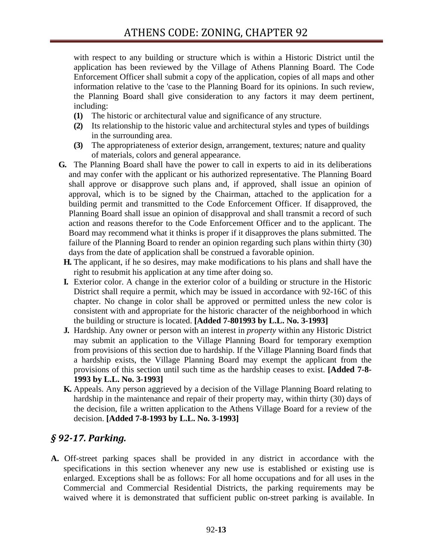with respect to any building or structure which is within a Historic District until the application has been reviewed by the Village of Athens Planning Board. The Code Enforcement Officer shall submit a copy of the application, copies of all maps and other information relative to the 'case to the Planning Board for its opinions. In such review, the Planning Board shall give consideration to any factors it may deem pertinent, including:

- **(1)** The historic or architectural value and significance of any structure.
- **(2)** Its relationship to the historic value and architectural styles and types of buildings in the surrounding area.
- **(3)** The appropriateness of exterior design, arrangement, textures; nature and quality of materials, colors and general appearance.
- **G.** The Planning Board shall have the power to call in experts to aid in its deliberations and may confer with the applicant or his authorized representative. The Planning Board shall approve or disapprove such plans and, if approved, shall issue an opinion of approval, which is to be signed by the Chairman, attached to the application for a building permit and transmitted to the Code Enforcement Officer. If disapproved, the Planning Board shall issue an opinion of disapproval and shall transmit a record of such action and reasons therefor to the Code Enforcement Officer and to the applicant. The Board may recommend what it thinks is proper if it disapproves the plans submitted. The failure of the Planning Board to render an opinion regarding such plans within thirty (30) days from the date of application shall be construed a favorable opinion.
	- **H.** The applicant, if he so desires, may make modifications to his plans and shall have the right to resubmit his application at any time after doing so.
	- **I.** Exterior color. A change in the exterior color of a building or structure in the Historic District shall require a permit, which may be issued in accordance with 92-16C of this chapter. No change in color shall be approved or permitted unless the new color is consistent with and appropriate for the historic character of the neighborhood in which the building or structure is located. **[Added 7-801993 by L.L. No. 3-1993]**
	- **J.** Hardship. Any owner or person with an interest in *property* within any Historic District may submit an application to the Village Planning Board for temporary exemption from provisions of this section due to hardship. If the Village Planning Board finds that a hardship exists, the Village Planning Board may exempt the applicant from the provisions of this section until such time as the hardship ceases to exist. **[Added 7-8- 1993 by L.L. No. 3-1993]**
	- **K.** Appeals. Any person aggrieved by a decision of the Village Planning Board relating to hardship in the maintenance and repair of their property may, within thirty (30) days of the decision, file a written application to the Athens Village Board for a review of the decision. **[Added 7-8-1993 by L.L. No. 3-1993]**

## *§ 9217. Parking.*

**A.** Off-street parking spaces shall be provided in any district in accordance with the specifications in this section whenever any new use is established or existing use is enlarged. Exceptions shall be as follows: For all home occupations and for all uses in the Commercial and Commercial Residential Districts, the parking requirements may be waived where it is demonstrated that sufficient public on-street parking is available. In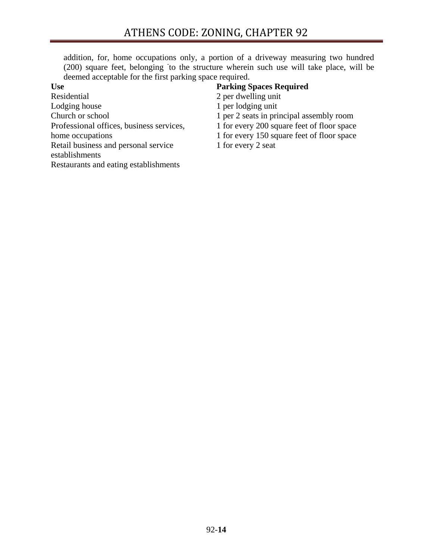addition, for, home occupations only, a portion of a driveway measuring two hundred (200) square feet, belonging to the structure wherein such use will take place, will be deemed acceptable for the first parking space required.

**Use**  Residential Lodging house Church or school Professional offices, business services, home occupations Retail business and personal service establishments Restaurants and eating establishments

#### **Parking Spaces Required**

- 2 per dwelling unit
- 1 per lodging unit
- 1 per 2 seats in principal assembly room
- 1 for every 200 square feet of floor space
- 1 for every 150 square feet of floor space
- 1 for every 2 seat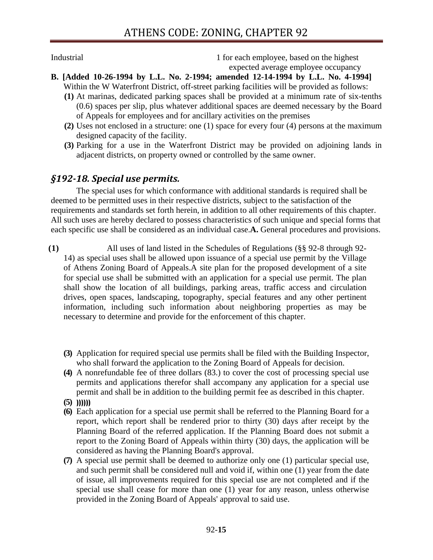Industrial 1 for each employee, based on the highest expected average employee occupancy

- **B. [Added 10-26-1994 by L.L. No. 2-1994; amended 12-14-1994 by L.L. No. 4-1994]**  Within the W Waterfront District, off-street parking facilities will be provided as follows:
	- **(1)** At marinas, dedicated parking spaces shall be provided at a minimum rate of six-tenths (0.6) spaces per slip, plus whatever additional spaces are deemed necessary by the Board of Appeals for employees and for ancillary activities on the premises
	- **(2)** Uses not enclosed in a structure: one (1) space for every four (4) persons at the maximum designed capacity of the facility.
	- **(3)** Parking for a use in the Waterfront District may be provided on adjoining lands in adjacent districts, on property owned or controlled by the same owner.

### *§19218. Special use permits.*

The special uses for which conformance with additional standards is required shall be deemed to be permitted uses in their respective districts, subject to the satisfaction of the requirements and standards set forth herein, in addition to all other requirements of this chapter. All such uses are hereby declared to possess characteristics of such unique and special forms that each specific use shall be considered as an individual case.**A.** General procedures and provisions.

- **(1)** All uses of land listed in the Schedules of Regulations (§§ 92-8 through 92- 14) as special uses shall be allowed upon issuance of a special use permit by the Village of Athens Zoning Board of Appeals.A site plan for the proposed development of a site for special use shall be submitted with an application for a special use permit. The plan shall show the location of all buildings, parking areas, traffic access and circulation drives, open spaces, landscaping, topography, special features and any other pertinent information, including such information about neighboring properties as may be necessary to determine and provide for the enforcement of this chapter.
	- **(3)** Application for required special use permits shall be filed with the Building Inspector, who shall forward the application to the Zoning Board of Appeals for decision.
	- **(4)** A nonrefundable fee of three dollars (83.) to cover the cost of processing special use permits and applications therefor shall accompany any application for a special use permit and shall be in addition to the building permit fee as described in this chapter.
	- **(5) ))))))**
	- **(6)** Each application for a special use permit shall be referred to the Planning Board for a report, which report shall be rendered prior to thirty (30) days after receipt by the Planning Board of the referred application. If the Planning Board does not submit a report to the Zoning Board of Appeals within thirty (30) days, the application will be considered as having the Planning Board's approval.
	- **(7)** A special use permit shall be deemed to authorize only one (1) particular special use, and such permit shall be considered null and void if, within one (1) year from the date of issue, all improvements required for this special use are not completed and if the special use shall cease for more than one (1) year for any reason, unless otherwise provided in the Zoning Board of Appeals' approval to said use.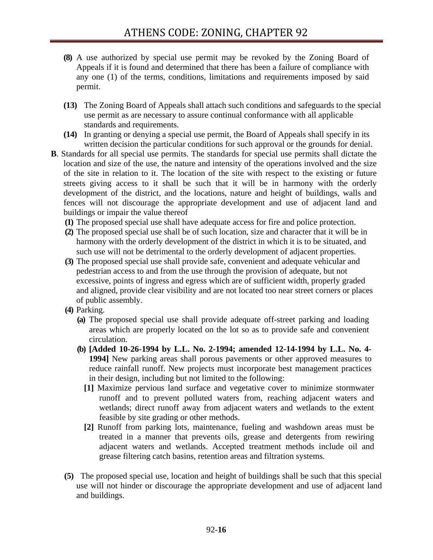- **(8)** A use authorized by special use permit may be revoked by the Zoning Board of Appeals if it is found and determined that there has been a failure of compliance with any one (1) of the terms, conditions, limitations and requirements imposed by said permit.
- **(13)** The Zoning Board of Appeals shall attach such conditions and safeguards to the special use permit as are necessary to assure continual conformance with all applicable standards and requirements.
- **(14)** In granting or denying a special use permit, the Board of Appeals shall specify in its written decision the particular conditions for such approval or the grounds for denial.
- **B**. Standards for all special use permits. The standards for special use permits shall dictate the location and size of the use, the nature and intensity of the operations involved and the size of the site in relation to it. The location of the site with respect to the existing or future streets giving access to it shall be such that it will be in harmony with the orderly development of the district, and the locations, nature and height of buildings, walls and fences will not discourage the appropriate development and use of adjacent land and buildings or impair the value thereof
	- **(1)** The proposed special use shall have adequate access for fire and police protection.
	- **(2)** The proposed special use shall be of such location, size and character that it will be in harmony with the orderly development of the district in which it is to be situated, and such use will not be detrimental to the orderly development of adjacent properties.
	- **(3)** The proposed special use shall provide safe, convenient and adequate vehicular and pedestrian access to and from the use through the provision of adequate, but not excessive, points of ingress and egress which are of sufficient width*,* properly graded and aligned, provide clear visibility and are not located too near street corners or places of public assembly.
	- **(4)** Parking.
		- **(a)** The proposed special use shall provide adequate off-street parking and loading areas which are properly located on the lot so as to provide safe and convenient circulation.
		- **(b) [Added 10-26-1994 by L.L. No. 2-1994; amended 12-14-1994 by L.L. No. 4- 1994]** New parking areas shall porous pavements or other approved measures to reduce rainfall runoff. New projects must incorporate best management practices in their design, including but not limited to the following:
			- **[1]** Maximize pervious land surface and vegetative cover to minimize stormwater runoff and to prevent polluted waters from, reaching adjacent waters and wetlands; direct runoff away from adjacent waters and wetlands to the extent feasible by site grading or other methods.
			- **[2]** Runoff from parking lots, maintenance, fueling and washdown areas must be treated in a manner that prevents oils, grease and detergents from rewiring adjacent waters and wetlands. Accepted treatment methods include oil and grease filtering catch basins, retention areas and filtration systems.
	- **(5)** The proposed special use, location and height of buildings shall be such that this special use will not hinder or discourage the appropriate development and use of adjacent land and buildings.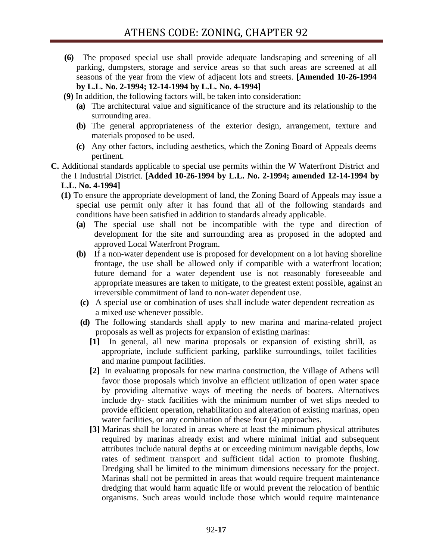**(6)** The proposed special use shall provide adequate landscaping and screening of all parking, dumpsters, storage and service areas so that such areas are screened at all seasons of the year from the view of adjacent lots and streets. **[Amended 10-26-1994 by L.L. No. 2-1994; 12-14-1994 by L.L. No. 4-1994]** 

**(9)** In addition, the following factors will, be taken into consideration:

- **(a)** The architectural value and significance of the structure and its relationship to the surrounding area.
- **(b)** The general appropriateness of the exterior design, arrangement, texture and materials proposed to be used.
- **(c)** Any other factors, including aesthetics, which the Zoning Board of Appeals deems pertinent.
- **C.** Additional standards applicable to special use permits within the W Waterfront District and the I Industrial District. **[Added 10-26-1994 by L.L. No. 2-1994; amended 12-14-1994 by L.L. No. 4-1994]**
	- **(1)** To ensure the appropriate development of land, the Zoning Board of Appeals may issue a special use permit only after it has found that all of the following standards and conditions have been satisfied in addition to standards already applicable.
		- **(a)** The special use shall not be incompatible with the type and direction of development for the site and surrounding area as proposed in the adopted and approved Local Waterfront Program.
		- **(b)** If a non-water dependent use is proposed for development on a lot having shoreline frontage, the use shall be allowed only if compatible with a waterfront location; future demand for a water dependent use is not reasonably foreseeable and appropriate measures are taken to mitigate, to the greatest extent possible, against an irreversible commitment of land to non-water dependent use.
		- **(c)** A special use or combination of uses shall include water dependent recreation as a mixed use whenever possible.
		- **(d)** The following standards shall apply to new marina and marina-related project proposals as well as projects for expansion of existing marinas:
			- **[1]** In general, all new marina proposals or expansion of existing shrill, as appropriate, include sufficient parking, parklike surroundings, toilet facilities and marine pumpout facilities.
			- **[2]** In evaluating proposals for new marina construction, the Village of Athens will favor those proposals which involve an efficient utilization of open water space by providing alternative ways of meeting the needs of boaters. Alternatives include dry- stack facilities with the minimum number of wet slips needed to provide efficient operation, rehabilitation and alteration of existing marinas, open water facilities, or any combination of these four (4) approaches.
			- **[3]** Marinas shall be located in areas where at least the minimum physical attributes required by marinas already exist and where minimal initial and subsequent attributes include natural depths at or exceeding minimum navigable depths, low rates of sediment transport and sufficient tidal action to promote flushing. Dredging shall be limited to the minimum dimensions necessary for the project. Marinas shall not be permitted in areas that would require frequent maintenance dredging that would harm aquatic life or would prevent the relocation of benthic organisms. Such areas would include those which would require maintenance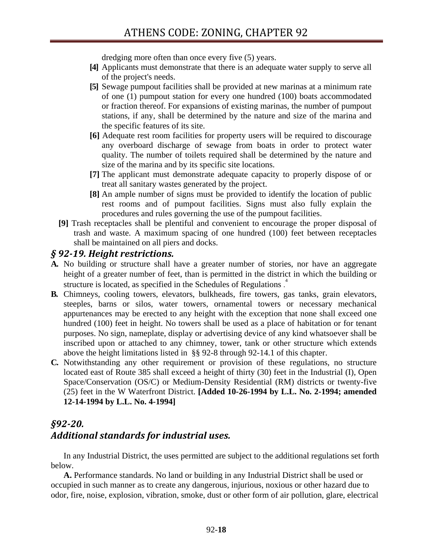dredging more often than once every five (5) years.

- **[4]** Applicants must demonstrate that there is an adequate water supply to serve all of the project's needs.
- **[5]** Sewage pumpout facilities shall be provided at new marinas at a minimum rate of one (1) pumpout station for every one hundred (100) boats accommodated or fraction thereof. For expansions of existing marinas, the number of pumpout stations, if any, shall be determined by the nature and size of the marina and the specific features of its site.
- **[6]** Adequate rest room facilities for property users will be required to discourage any overboard discharge of sewage from boats in order to protect water quality. The number of toilets required shall be determined by the nature and size of the marina and by its specific site locations.
- **[7]** The applicant must demonstrate adequate capacity to properly dispose of or treat all sanitary wastes generated by the project.
- **[8]** An ample number of signs must be provided to identify the location of public rest rooms and of pumpout facilities. Signs must also fully explain the procedures and rules governing the use of the pumpout facilities.
- **[9]** Trash receptacles shall be plentiful and convenient to encourage the proper disposal of trash and waste. A maximum spacing of one hundred (100) feet between receptacles shall be maintained on all piers and docks.

### *§ 9219. Height restrictions.*

- **A.** No building or structure shall have a greater number of stories, nor have an aggregate height of a greater number of feet, than is permitted in the district in which the building or structure is located, as specified in the Schedules of Regulations.<sup>4</sup>
- **B.** Chimneys, cooling towers, elevators, bulkheads, fire towers, gas tanks, grain elevators, steeples, barns or silos, water towers, ornamental towers or necessary mechanical appurtenances may be erected to any height with the exception that none shall exceed one hundred (100) feet in height. No towers shall be used as a place of habitation or for tenant purposes. No sign, nameplate, display or advertising device of any kind whatsoever shall be inscribed upon or attached to any chimney, tower, tank or other structure which extends above the height limitations listed in §§ 92-8 through 92-14.1 of this chapter.
- **C.** Notwithstanding any other requirement or provision of these regulations, no structure located east of Route 385 shall exceed a height of thirty (30) feet in the Industrial (I), Open Space/Conservation (OS/C) or Medium-Density Residential (RM) districts or twenty-five (25) feet in the W Waterfront District. **[Added 10-26-1994 by L.L. No. 2-1994; amended 12-14-1994 by L.L. No. 4-1994]**

# *§9220. Additional standards for industrial uses.*

In any Industrial District, the uses permitted are subject to the additional regulations set forth below.

**A.** Performance standards. No land or building in any Industrial District shall be used or occupied in such manner as to create any dangerous, injurious, noxious or other hazard due to odor, fire, noise, explosion, vibration, smoke, dust or other form of air pollution, glare, electrical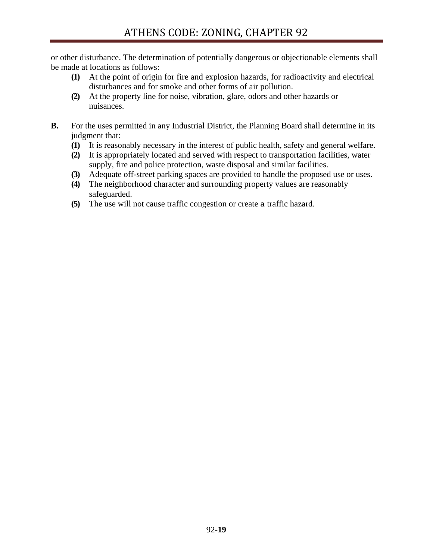or other disturbance. The determination of potentially dangerous or objectionable elements shall be made at locations as follows:

- **(1)** At the point of origin for fire and explosion hazards, for radioactivity and electrical disturbances and for smoke and other forms of air pollution.
- **(2)** At the property line for noise, vibration, glare, odors and other hazards or nuisances.
- **B.** For the uses permitted in any Industrial District, the Planning Board shall determine in its judgment that:
	- **(1)** It is reasonably necessary in the interest of public health, safety and general welfare.
	- **(2)** It is appropriately located and served with respect to transportation facilities, water supply, fire and police protection, waste disposal and similar facilities.
	- **(3)** Adequate off-street parking spaces are provided to handle the proposed use or uses.
	- **(4)** The neighborhood character and surrounding property values are reasonably safeguarded.
	- **(5)** The use will not cause traffic congestion or create a traffic hazard.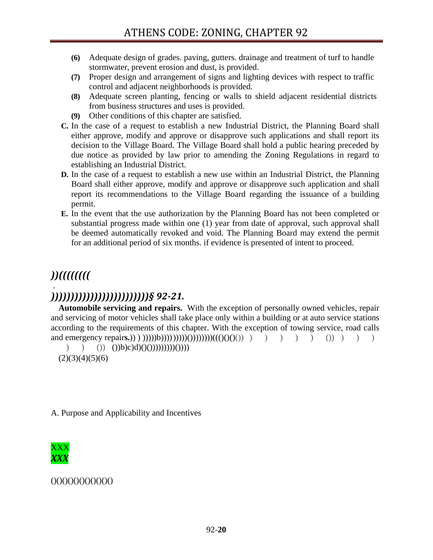- **(6)** Adequate design of grades. paving, gutters. drainage and treatment of turf to handle stormwater, prevent erosion and dust, is provided.
- **(7)** Proper design and arrangement of signs and lighting devices with respect to traffic control and adjacent neighborhoods is provided.
- **(8)** Adequate screen planting, fencing or walls to shield adjacent residential districts from business structures and uses is provided.
- **(9)** Other conditions of this chapter are satisfied.
- **C.** In the case of a request to establish a new Industrial District, the Planning Board shall either approve, modify and approve or disapprove such applications and shall report its decision to the Village Board. The Village Board shall hold a public hearing preceded by due notice as provided by law prior to amending the Zoning Regulations in regard to establishing an Industrial District.
- **D.** In the case of a request to establish a new use within an Industrial District, the Planning Board shall either approve, modify and approve or disapprove such application and shall report its recommendations to the Village Board regarding the issuance of a building permit.
- **E.** In the event that the use authorization by the Planning Board has not been completed or substantial progress made within one (1) year from date of approval, such approval shall be deemed automatically revoked and void. The Planning Board may extend the permit for an additional period of six months. if evidence is presented of intent to proceed.

### *))((((((((* .

# *)))))))))))))))))))))))))§ 9221.*

**Automobile servicing and repairs.** With the exception of personally owned vehicles, repair and servicing of motor vehicles shall take place only within a building or at auto service stations according to the requirements of this chapter. With the exception of towing service, road calls and emergency repair**s.**)) ) )))))b)))) )))))())))))))((()()()()) ) ) ) ) ) ()) ) ) )

 $)$  ()) ())b)c)d)()())))))))))))(())))  $(2)(3)(4)(5)(6)$ 

A. Purpose and Applicability and Incentives



#### ()()()()()()()()()()()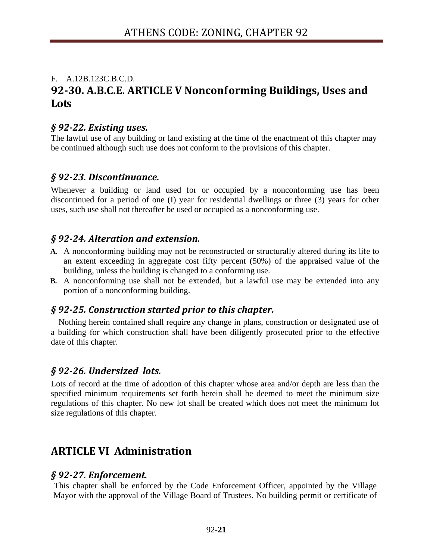# F. A.12B.123C.B.C.D. **9230. A.B.C.E. ARTICLE V Nonconforming Buildings, Uses and Lots**

### *§ 9222. Existing uses.*

The lawful use of any building or land existing at the time of the enactment of this chapter may be continued although such use does not conform to the provisions of this chapter.

### *§ 9223. Discontinuance.*

Whenever a building or land used for or occupied by a nonconforming use has been discontinued for a period of one (I) year for residential dwellings or three (3) years for other uses, such use shall not thereafter be used or occupied as a nonconforming use.

### *§ 9224. Alteration and extension.*

- **A.** A nonconforming building may not be reconstructed or structurally altered during its life to an extent exceeding in aggregate cost fifty percent (50%) of the appraised value of the building, unless the building is changed to a conforming use.
- **B.** A nonconforming use shall not be extended, but a lawful use may be extended into any portion of a nonconforming building.

### *§ 9225. Construction started prior to this chapter.*

Nothing herein contained shall require any change in plans, construction or designated use of a building for which construction shall have been diligently prosecuted prior to the effective date of this chapter.

### *§ 9226. Undersized lots.*

Lots of record at the time of adoption of this chapter whose area and/or depth are less than the specified minimum requirements set forth herein shall be deemed to meet the minimum size regulations of this chapter. No new lot shall be created which does not meet the minimum lot size regulations of this chapter.

# **ARTICLE VI Administration**

### *§ 9227. Enforcement.*

This chapter shall be enforced by the Code Enforcement Officer, appointed by the Village Mayor with the approval of the Village Board of Trustees. No building permit or certificate of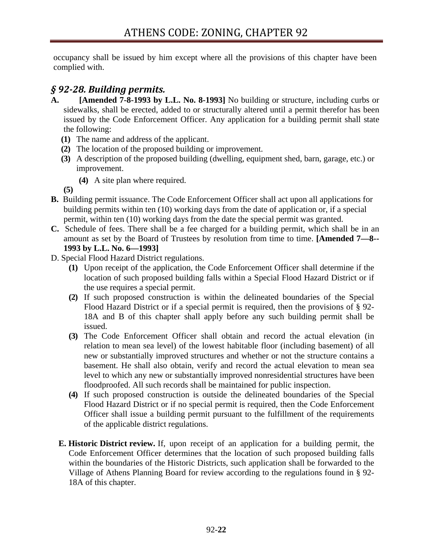occupancy shall be issued by him except where all the provisions of this chapter have been complied with.

### *§ 9228. Building permits.*

- **A. [Amended 7-8-1993 by L.L. No. 8-1993]** No building or structure, including curbs or sidewalks, shall be erected, added to or structurally altered until a permit therefor has been issued by the Code Enforcement Officer. Any application for a building permit shall state the following:
	- **(1)** The name and address of the applicant.
	- **(2)** The location of the proposed building or improvement.
	- **(3)** A description of the proposed building (dwelling, equipment shed, barn, garage, etc.) or improvement.
		- **(4)** A site plan where required.

**(5)**

- **B.** Building permit issuance. The Code Enforcement Officer shall act upon all applications for building permits within ten (10) working days from the date of application or, if a special permit, within ten (10) working days from the date the special permit was granted.
- **C.** Schedule of fees. There shall be a fee charged for a building permit, which shall be in an amount as set by the Board of Trustees by resolution from time to time. **[Amended 7—8-- 1993 by L.L. No. 6—1993]**
- D. Special Flood Hazard District regulations.
	- **(1)** Upon receipt of the application, the Code Enforcement Officer shall determine if the location of such proposed building falls within a Special Flood Hazard District or if the use requires a special permit.
	- **(2)** If such proposed construction is within the delineated boundaries of the Special Flood Hazard District or if a special permit is required, then the provisions of § 92- 18A and B of this chapter shall apply before any such building permit shall be issued.
	- **(3)** The Code Enforcement Officer shall obtain and record the actual elevation (in relation to mean sea level) of the lowest habitable floor (including basement) of all new or substantially improved structures and whether or not the structure contains a basement. He shall also obtain, verify and record the actual elevation to mean sea level to which any new or substantially improved nonresidential structures have been floodproofed. All such records shall be maintained for public inspection.
	- **(4)** If such proposed construction is outside the delineated boundaries of the Special Flood Hazard District or if no special permit is required, then the Code Enforcement Officer shall issue a building permit pursuant to the fulfillment of the requirements of the applicable district regulations.
	- **E. Historic District review.** If, upon receipt of an application for a building permit, the Code Enforcement Officer determines that the location of such proposed building falls within the boundaries of the Historic Districts, such application shall be forwarded to the Village of Athens Planning Board for review according to the regulations found in § 92- 18A of this chapter.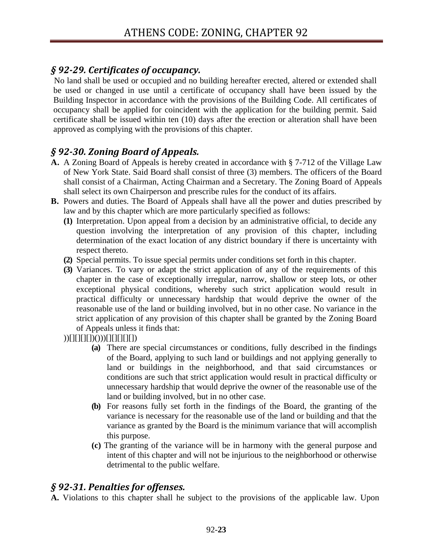### *§ 9229. Certificates of occupancy.*

No land shall be used or occupied and no building hereafter erected, altered or extended shall be used or changed in use until a certificate of occupancy shall have been issued by the Building Inspector in accordance with the provisions of the Building Code. All certificates of occupancy shall be applied for coincident with the application for the building permit. Said certificate shall be issued within ten (10) days after the erection or alteration shall have been approved as complying with the provisions of this chapter.

# *§ 9230. Zoning Board of Appeals.*

- **A.** A Zoning Board of Appeals is hereby created in accordance with § 7-712 of the Village Law of New York State. Said Board shall consist of three (3) members. The officers of the Board shall consist of a Chairman, Acting Chairman and a Secretary. The Zoning Board of Appeals shall select its own Chairperson and prescribe rules for the conduct of its affairs.
- **B.** Powers and duties. The Board of Appeals shall have all the power and duties prescribed by law and by this chapter which are more particularly specified as follows:
	- **(1)** Interpretation. Upon appeal from a decision by an administrative official, to decide any question involving the interpretation of any provision of this chapter, including determination of the exact location of any district boundary if there is uncertainty with respect thereto.
	- **(2)** Special permits. To issue special permits under conditions set forth in this chapter.
	- **(3)** Variances. To vary or adapt the strict application of any of the requirements of this chapter in the case of exceptionally irregular, narrow, shallow or steep lots, or other exceptional physical conditions, whereby such strict application would result in practical difficulty or unnecessary hardship that would deprive the owner of the reasonable use of the land or building involved, but in no other case. No variance in the strict application of any provision of this chapter shall be granted by the Zoning Board of Appeals unless it finds that:

))[][][][])()))[][][][][])

- **(a)** There are special circumstances or conditions, fully described in the findings of the Board, applying to such land or buildings and not applying generally to land or buildings in the neighborhood, and that said circumstances or conditions are such that strict application would result in practical difficulty or unnecessary hardship that would deprive the owner of the reasonable use of the land or building involved, but in no other case.
- **(b)** For reasons fully set forth in the findings of the Board, the granting of the variance is necessary for the reasonable use of the land or building and that the variance as granted by the Board is the minimum variance that will accomplish this purpose.
- **(c)** The granting of the variance will be in harmony with the general purpose and intent of this chapter and will not be injurious to the neighborhood or otherwise detrimental to the public welfare.

## *§ 9231. Penalties for offenses.*

**A.** Violations to this chapter shall he subject to the provisions of the applicable law. Upon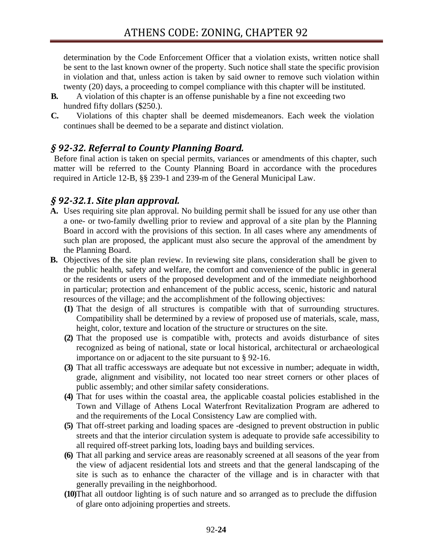determination by the Code Enforcement Officer that a violation exists, written notice shall be sent to the last known owner of the property. Such notice shall state the specific provision in violation and that, unless action is taken by said owner to remove such violation within twenty (20) days, a proceeding to compel compliance with this chapter will be instituted.

- **B.** A violation of this chapter is an offense punishable by a fine not exceeding two hundred fifty dollars (\$250.).
- **C.** Violations of this chapter shall be deemed misdemeanors. Each week the violation continues shall be deemed to be a separate and distinct violation.

## *§ 9232. Referral to County Planning Board.*

Before final action is taken on special permits, variances or amendments of this chapter, such matter will be referred to the County Planning Board in accordance with the procedures required in Article 12-B, §§ 239-1 and 239-m of the General Municipal Law.

### *§ 9232.1. Site plan approval.*

- **A.** Uses requiring site plan approval. No building permit shall be issued for any use other than a one- or two-family dwelling prior to review and approval of a site plan by the Planning Board in accord with the provisions of this section. In all cases where any amendments of such plan are proposed, the applicant must also secure the approval of the amendment by the Planning Board.
- **B.** Objectives of the site plan review. In reviewing site plans, consideration shall be given to the public health, safety and welfare, the comfort and convenience of the public in general or the residents or users of the proposed development and of the immediate neighborhood in particular; protection and enhancement of the public access, scenic, historic and natural resources of the village; and the accomplishment of the following objectives:
	- **(1)** That the design of all structures is compatible with that of surrounding structures. Compatibility shall be determined by a review of proposed use of materials, scale, mass, height, color, texture and location of the structure or structures on the site.
	- **(2)** That the proposed use is compatible with, protects and avoids disturbance of sites recognized as being of national, state or local historical, architectural or archaeological importance on or adjacent to the site pursuant to § 92-16.
	- **(3)** That all traffic accessways are adequate but not excessive in number; adequate in width, grade, alignment and visibility, not located too near street corners or other places of public assembly; and other similar safety considerations.
	- **(4)** That for uses within the coastal area, the applicable coastal policies established in the Town and Village of Athens Local Waterfront Revitalization Program are adhered to and the requirements of the Local Consistency Law are complied with.
	- **(5)** That off-street parking and loading spaces are -designed to prevent obstruction in public streets and that the interior circulation system is adequate to provide safe accessibility to all required off-street parking lots, loading bays and building services.
	- **(6)** That all parking and service areas are reasonably screened at all seasons of the year from the view of adjacent residential lots and streets and that the general landscaping of the site is such as to enhance the character of the village and is in character with that generally prevailing in the neighborhood.
	- **(10)**That all outdoor lighting is of such nature and so arranged as to preclude the diffusion of glare onto adjoining properties and streets.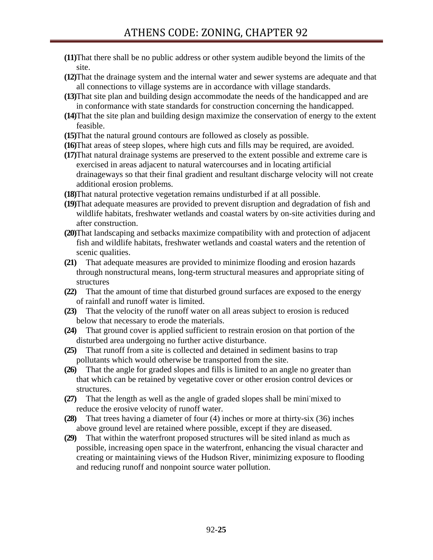**(11)**That there shall be no public address or other system audible beyond the limits of the site.

**(12)**That the drainage system and the internal water and sewer systems are adequate and that all connections to village systems are in accordance with village standards.

- **(13)**That site plan and building design accommodate the needs of the handicapped and are in conformance with state standards for construction concerning the handicapped.
- **(14)**That the site plan and building design maximize the conservation of energy to the extent feasible.
- **(15)**That the natural ground contours are followed as closely as possible.
- **(16)**That areas of steep slopes, where high cuts and fills may be required, are avoided.
- **(17)**That natural drainage systems are preserved to the extent possible and extreme care is exercised in areas adjacent to natural watercourses and in locating artificial drainageways so that their final gradient and resultant discharge velocity will not create additional erosion problems.
- **(18)**That natural protective vegetation remains undisturbed if at all possible.
- **(19)**That adequate measures are provided to prevent disruption and degradation of fish and wildlife habitats, freshwater wetlands and coastal waters by on-site activities during and after construction.
- **(20)**That landscaping and setbacks maximize compatibility with and protection of adjacent fish and wildlife habitats, freshwater wetlands and coastal waters and the retention of scenic qualities.
- **(21)** That adequate measures are provided to minimize flooding and erosion hazards through nonstructural means, long-term structural measures and appropriate siting of structures
- **(22)** That the amount of time that disturbed ground surfaces are exposed to the energy of rainfall and runoff water is limited.
- **(23)** That the velocity of the runoff water on all areas subject to erosion is reduced below that necessary to erode the materials.
- **(24)** That ground cover is applied sufficient to restrain erosion on that portion of the disturbed area undergoing no further active disturbance.
- **(25)** That runoff from a site is collected and detained in sediment basins to trap pollutants which would otherwise be transported from the site.
- **(26)** That the angle for graded slopes and fills is limited to an angle no greater than that which can be retained by vegetative cover or other erosion control devices or structures.
- (27) That the length as well as the angle of graded slopes shall be minimixed to reduce the erosive velocity of runoff water.
- **(28)** That trees having a diameter of four (4) inches or more at thirty-six (36) inches above ground level are retained where possible, except if they are diseased.
- **(29)** That within the waterfront proposed structures will be sited inland as much as possible, increasing open space in the waterfront, enhancing the visual character and creating or maintaining views of the Hudson River, minimizing exposure to flooding and reducing runoff and nonpoint source water pollution.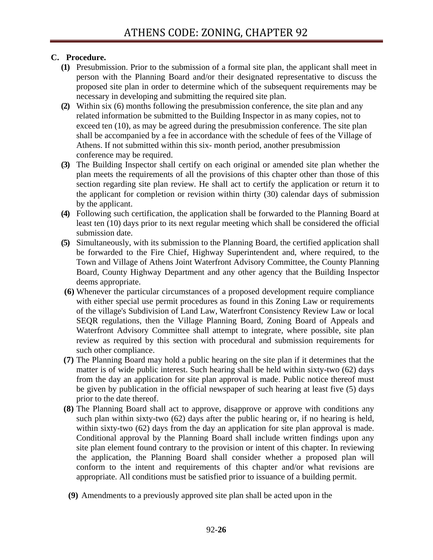### **C. Procedure.**

- **(1)** Presubmission. Prior to the submission of a formal site plan, the applicant shall meet in person with the Planning Board and/or their designated representative to discuss the proposed site plan in order to determine which of the subsequent requirements may be necessary in developing and submitting the required site plan.
- **(2)** Within six (6) months following the presubmission conference, the site plan and any related information be submitted to the Building Inspector in as many copies, not to exceed ten (10), as may be agreed during the presubmission conference. The site plan shall be accompanied by a fee in accordance with the schedule of fees of the Village of Athens. If not submitted within this six- month period, another presubmission conference may be required.
- **(3)** The Building Inspector shall certify on each original or amended site plan whether the plan meets the requirements of all the provisions of this chapter other than those of this section regarding site plan review. He shall act to certify the application or return it to the applicant for completion or revision within thirty (30) calendar days of submission by the applicant.
- **(4)** Following such certification, the application shall be forwarded to the Planning Board at least ten (10) days prior to its next regular meeting which shall be considered the official submission date.
- **(5)** Simultaneously, with its submission to the Planning Board, the certified application shall be forwarded to the Fire Chief, Highway Superintendent and, where required, to the Town and Village of Athens Joint Waterfront Advisory Committee, the County Planning Board, County Highway Department and any other agency that the Building Inspector deems appropriate.
- **(6)** Whenever the particular circumstances of a proposed development require compliance with either special use permit procedures as found in this Zoning Law or requirements of the village's Subdivision of Land Law, Waterfront Consistency Review Law or local SEQR regulations, then the Village Planning Board, Zoning Board of Appeals and Waterfront Advisory Committee shall attempt to integrate, where possible, site plan review as required by this section with procedural and submission requirements for such other compliance.
- **(7)** The Planning Board may hold a public hearing on the site plan if it determines that the matter is of wide public interest. Such hearing shall be held within sixty-two (62) days from the day an application for site plan approval is made. Public notice thereof must be given by publication in the official newspaper of such hearing at least five (5) days prior to the date thereof.
- **(8)** The Planning Board shall act to approve, disapprove or approve with conditions any such plan within sixty-two (62) days after the public hearing or, if no hearing is held, within sixty-two (62) days from the day an application for site plan approval is made. Conditional approval by the Planning Board shall include written findings upon any site plan element found contrary to the provision or intent of this chapter. In reviewing the application, the Planning Board shall consider whether a proposed plan will conform to the intent and requirements of this chapter and/or what revisions are appropriate. All conditions must be satisfied prior to issuance of a building permit.
- **(9)** Amendments to a previously approved site plan shall be acted upon in the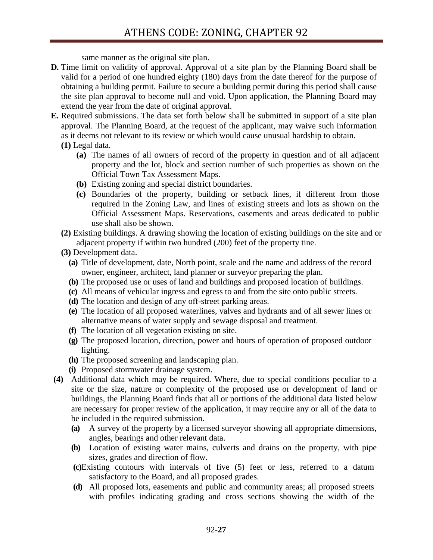same manner as the original site plan.

- **D.** Time limit on validity of approval. Approval of a site plan by the Planning Board shall be valid for a period of one hundred eighty (180) days from the date thereof for the purpose of obtaining a building permit. Failure to secure a building permit during this period shall cause the site plan approval to become null and void. Upon application, the Planning Board may extend the year from the date of original approval.
- **E.** Required submissions. The data set forth below shall be submitted in support of a site plan approval. The Planning Board, at the request of the applicant, may waive such information as it deems not relevant to its review or which would cause unusual hardship to obtain.
	- **(1)** Legal data.
		- **(a)** The names of all owners of record of the property in question and of all adjacent property and the lot, block and section number of such properties as shown on the Official Town Tax Assessment Maps.
		- **(b)** Existing zoning and special district boundaries.
		- **(c)** Boundaries of the property, building or setback lines, if different from those required in the Zoning Law, and lines of existing streets and lots as shown on the Official Assessment Maps. Reservations, easements and areas dedicated to public use shall also be shown.
	- **(2)** Existing buildings. A drawing showing the location of existing buildings on the site and or adjacent property if within two hundred (200) feet of the property tine.
	- **(3)** Development data.
		- **(a)** Title of development, date, North point, scale and the name and address of the record owner, engineer, architect, land planner or surveyor preparing the plan.
		- **(b)** The proposed use or uses of land and buildings and proposed location of buildings.
		- **(c)** All means of vehicular ingress and egress to and from the site onto public streets.
		- **(d)** The location and design of any off-street parking areas.
		- **(e)** The location of all proposed waterlines, valves and hydrants and of all sewer lines or alternative means of water supply and sewage disposal and treatment.
		- **(f)** The location of all vegetation existing on site.
		- **(g)** The proposed location, direction, power and hours of operation of proposed outdoor lighting.
		- **(h)** The proposed screening and landscaping plan.
		- **(i)** Proposed stormwater drainage system.
- **(4)** Additional data which may be required. Where, due to special conditions peculiar to a site or the size, nature or complexity of the proposed use or development of land or buildings, the Planning Board finds that all or portions of the additional data listed below are necessary for proper review of the application, it may require any or all of the data to be included in the required submission.
	- **(a)** A survey of the property by a licensed surveyor showing all appropriate dimensions, angles, bearings and other relevant data.
	- **(b)** Location of existing water mains, culverts and drains on the property, with pipe sizes, grades and direction of flow.
	- **(c)**Existing contours with intervals of five (5) feet or less, referred to a datum satisfactory to the Board, and all proposed grades.
	- **(d)** All proposed lots, easements and public and community areas; all proposed streets with profiles indicating grading and cross sections showing the width of the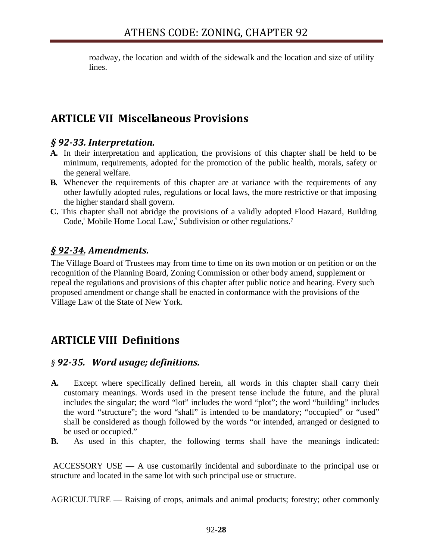roadway, the location and width of the sidewalk and the location and size of utility lines.

# **ARTICLE VII Miscellaneous Provisions**

### *§ 9233. Interpretation.*

- **A.** In their interpretation and application, the provisions of this chapter shall be held to be minimum, requirements, adopted for the promotion of the public health, morals, safety or the general welfare.
- **B.** Whenever the requirements of this chapter are at variance with the requirements of any other lawfully adopted rules, regulations or local laws, the more restrictive or that imposing the higher standard shall govern.
- **C.** This chapter shall not abridge the provisions of a validly adopted Flood Hazard, Building Code,<sup>5</sup> Mobile Home Local Law,<sup>6</sup> Subdivision or other regulations.<sup>7</sup>

### *§ 9234. Amendments.*

The Village Board of Trustees may from time to time on its own motion or on petition or on the recognition of the Planning Board, Zoning Commission or other body amend, supplement or repeal the regulations and provisions of this chapter after public notice and hearing. Every such proposed amendment or change shall be enacted in conformance with the provisions of the Village Law of the State of New York.

# **ARTICLE VIII Definitions**

### *§ 9235. Word usage; definitions.*

- **A.** Except where specifically defined herein, all words in this chapter shall carry their customary meanings. Words used in the present tense include the future, and the plural includes the singular; the word "lot" includes the word "plot"; the word "building" includes the word "structure"; the word "shall" is intended to be mandatory; "occupied" or "used" shall be considered as though followed by the words "or intended, arranged or designed to be used or occupied."
- **B.** As used in this chapter, the following terms shall have the meanings indicated:

 ACCESSORY USE — A use customarily incidental and subordinate to the principal use or structure and located in the same lot with such principal use or structure.

AGRICULTURE — Raising of crops, animals and animal products; forestry; other commonly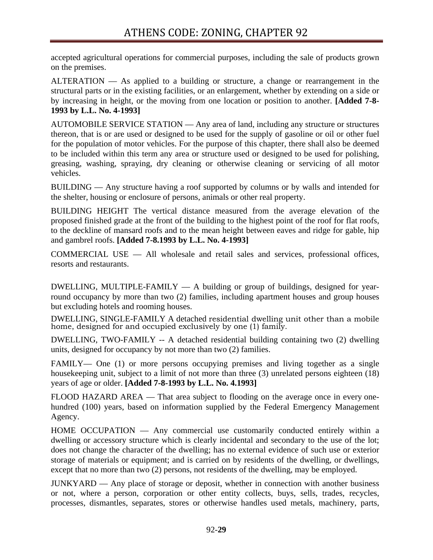accepted agricultural operations for commercial purposes, including the sale of products grown on the premises.

ALTERATION — As applied to a building or structure, a change or rearrangement in the structural parts or in the existing facilities, or an enlargement, whether by extending on a side or by increasing in height, or the moving from one location or position to another. **[Added 7-8- 1993 by L.L. No. 4-1993]** 

AUTOMOBILE SERVICE STATION — Any area of land, including any structure or structures thereon, that is or are used or designed to be used for the supply of gasoline or oil or other fuel for the population of motor vehicles. For the purpose of this chapter, there shall also be deemed to be included within this term any area or structure used or designed to be used for polishing, greasing, washing, spraying, dry cleaning or otherwise cleaning or servicing of all motor vehicles.

BUILDING — Any structure having a roof supported by columns or by walls and intended for the shelter, housing or enclosure of persons, animals or other real property.

BUILDING HEIGHT The vertical distance measured from the average elevation of the proposed finished grade at the front of the building to the highest point of the roof for flat roofs, to the deckline of mansard roofs and to the mean height between eaves and ridge for gable, hip and gambrel roofs. **[Added 7-8.1993 by L.L. No. 4-1993]** 

COMMERCIAL USE — All wholesale and retail sales and services, professional offices, resorts and restaurants.

DWELLING, MULTIPLE-FAMILY  $-$  A building or group of buildings, designed for yearround occupancy by more than two (2) families, including apartment houses and group houses but excluding hotels and rooming houses.

DWELLING, SINGLE-FAMILY A detached residential dwelling unit other than a mobile home, designed for and occupied exclusively by one (1) family.

DWELLING, TWO-FAMILY -- A detached residential building containing two (2) dwelling units, designed for occupancy by not more than two (2) families.

FAMILY— One (1) or more persons occupying premises and living together as a single housekeeping unit, subject to a limit of not more than three (3) unrelated persons eighteen (18) years of age or older. **[Added 7-8-1993 by L.L. No. 4.1993]** 

FLOOD HAZARD AREA — That area subject to flooding on the average once in every onehundred (100) years, based on information supplied by the Federal Emergency Management Agency.

HOME OCCUPATION — Any commercial use customarily conducted entirely within a dwelling or accessory structure which is clearly incidental and secondary to the use of the lot; does not change the character of the dwelling; has no external evidence of such use or exterior storage of materials or equipment; and is carried on by residents of the dwelling, or dwellings, except that no more than two (2) persons, not residents of the dwelling, may be employed.

JUNKYARD — Any place of storage or deposit, whether in connection with another business or not, where a person, corporation or other entity collects, buys, sells, trades, recycles, processes, dismantles, separates, stores or otherwise handles used metals, machinery, parts,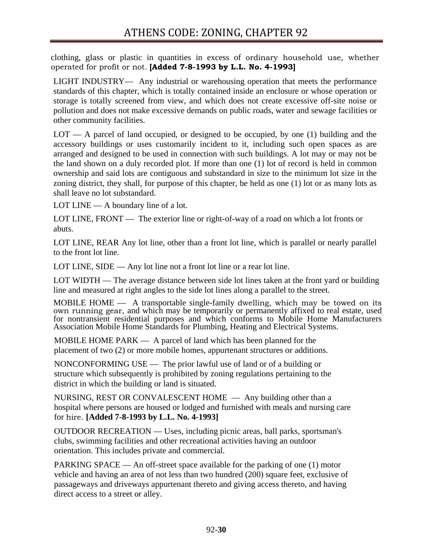clothing, glass or plastic in quantities in excess of ordinary household use, whether operated for profit or not. **[Added 7-8-1993 by L.L. No. 4-1993]**

LIGHT INDUSTRY— Any industrial or warehousing operation that meets the performance standards of this chapter, which is totally contained inside an enclosure or whose operation or storage is totally screened from view, and which does not create excessive off-site noise or pollution and does not make excessive demands on public roads, water and sewage facilities or other community facilities.

LOT — A parcel of land occupied, or designed to be occupied, by one (1) building and the accessory buildings or uses customarily incident to it, including such open spaces as are arranged and designed to be used in connection with such buildings. A lot may or may not be the land shown on a duly recorded plot. If more than one (1) lot of record is held in common ownership and said lots are contiguous and substandard in size to the minimum lot size in the zoning district, they shall, for purpose of this chapter, be held as one (1) lot or as many lots as shall leave no lot substandard.

LOT LINE — A boundary line of a lot.

LOT LINE, FRONT — The exterior line or right-of-way of a road on which a lot fronts or abuts.

LOT LINE, REAR Any lot line, other than a front lot line, which is parallel or nearly parallel to the front lot line.

LOT LINE, SIDE — Any lot line not a front lot line or a rear lot line.

LOT WIDTH — The average distance between side lot lines taken at the front yard or building line and measured at right angles to the side lot lines along a parallel to the street.

MOBILE HOME — A transportable single-family dwelling, which may be towed on its own running gear, and which may be temporarily or permanently affixed to real estate, used for nontransient residential purposes and which conforms to Mobile Home Manufacturers Association Mobile Home Standards for Plumbing, Heating and Electrical Systems.

MOBILE HOME PARK — A parcel of land which has been planned for the placement of two (2) or more mobile homes, appurtenant structures or additions.

NONCONFORMING USE — The prior lawful use of land or of a building or structure which subsequently is prohibited by zoning regulations pertaining to the district in which the building or land is situated.

NURSING, REST OR CONVALESCENT HOME — Any building other than a hospital where persons are housed or lodged and furnished with meals and nursing care for hire. **[Added 7-8-1993 by L.L. No. 4-1993]**

OUTDOOR RECREATION — Uses, including picnic areas, ball parks, sportsman's clubs, swimming facilities and other recreational activities having an outdoor orientation. This includes private and commercial.

PARKING SPACE — An off-street space available for the parking of one (1) motor vehicle and having an area of not less than two hundred (200) square feet, exclusive of passageways and driveways appurtenant thereto and giving access thereto, and having direct access to a street or alley.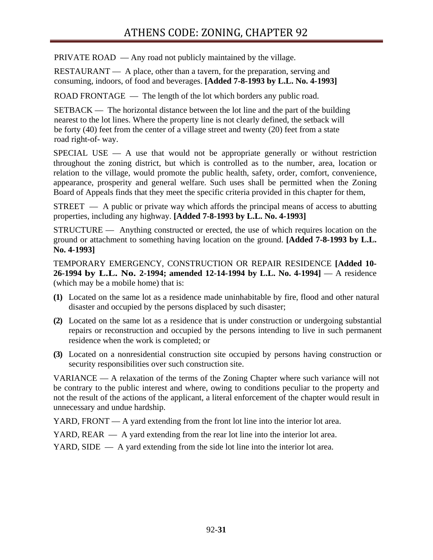# ATHENS CODE: ZONING, CHAPTER 92

PRIVATE ROAD — Any road not publicly maintained by the village.

RESTAURANT — A place, other than a tavern, for the preparation, serving and consuming, indoors, of food and beverages. **[Added 7-8-1993 by L.L. No. 4-1993]**

ROAD FRONTAGE — The length of the lot which borders any public road.

SETBACK — The horizontal distance between the lot line and the part of the building nearest to the lot lines. Where the property line is not clearly defined, the setback will be forty (40) feet from the center of a village street and twenty (20) feet from a state road right-of- way.

 $SPECIAL USE - A$  use that would not be appropriate generally or without restriction throughout the zoning district, but which is controlled as to the number, area, location or relation to the village, would promote the public health, safety, order, comfort, convenience, appearance, prosperity and general welfare. Such uses shall be permitted when the Zoning Board of Appeals finds that they meet the specific criteria provided in this chapter for them,

STREET — A public or private way which affords the principal means of access to abutting properties, including any highway. **[Added 7-8-1993 by L.L. No. 4-1993]**

STRUCTURE — Anything constructed or erected, the use of which requires location on the ground or attachment to something having location on the ground. **[Added 7-8-1993 by L.L. No. 4-1993]**

TEMPORARY EMERGENCY, CONSTRUCTION OR REPAIR RESIDENCE **[Added 10- 26-1994 by L.L. No. 2-1994; amended 12-14-1994 by L.L. No. 4-1994]** — A residence (which may be a mobile home) that is:

- **(1)** Located on the same lot as a residence made uninhabitable by fire, flood and other natural disaster and occupied by the persons displaced by such disaster;
- **(2)** Located on the same lot as a residence that is under construction or undergoing substantial repairs or reconstruction and occupied by the persons intending to live in such permanent residence when the work is completed; or
- **(3)** Located on a nonresidential construction site occupied by persons having construction or security responsibilities over such construction site.

VARIANCE — A relaxation of the terms of the Zoning Chapter where such variance will not be contrary to the public interest and where, owing to conditions peculiar to the property and not the result of the actions of the applicant, a literal enforcement of the chapter would result in unnecessary and undue hardship.

YARD, FRONT — A yard extending from the front lot line into the interior lot area.

YARD, REAR — A yard extending from the rear lot line into the interior lot area.

YARD, SIDE — A yard extending from the side lot line into the interior lot area.